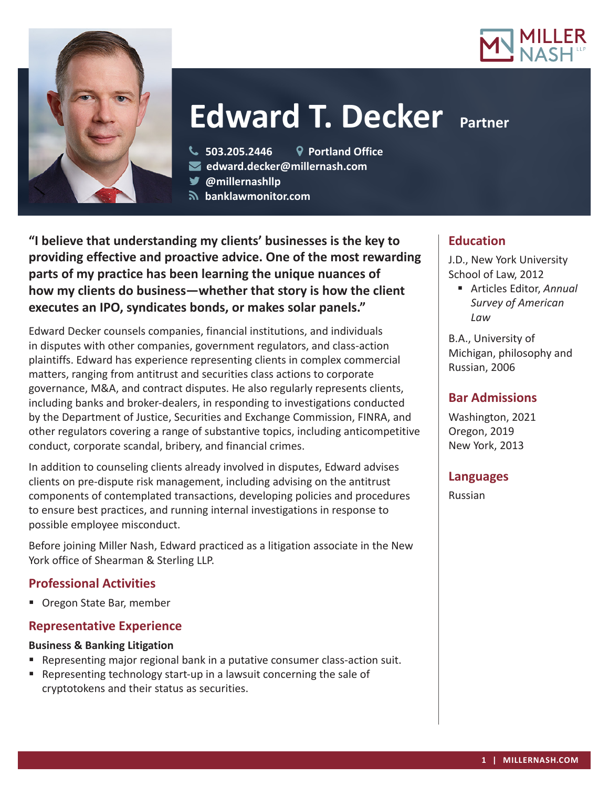



# **Edward T. Decker Partner**

**503.205.2446 Portland Office**

**edward.decker@millernash.com** 

**@millernashllp** 

 **banklawmonitor.com**

**"I believe that understanding my clients' businesses is the key to providing effective and proactive advice. One of the most rewarding parts of my practice has been learning the unique nuances of how my clients do business—whether that story is how the client executes an IPO, syndicates bonds, or makes solar panels."**

Edward Decker counsels companies, financial institutions, and individuals in disputes with other companies, government regulators, and class-action plaintiffs. Edward has experience representing clients in complex commercial matters, ranging from antitrust and securities class actions to corporate governance, M&A, and contract disputes. He also regularly represents clients, including banks and broker-dealers, in responding to investigations conducted by the Department of Justice, Securities and Exchange Commission, FINRA, and other regulators covering a range of substantive topics, including anticompetitive conduct, corporate scandal, bribery, and financial crimes.

In addition to counseling clients already involved in disputes, Edward advises clients on pre-dispute risk management, including advising on the antitrust components of contemplated transactions, developing policies and procedures to ensure best practices, and running internal investigations in response to possible employee misconduct.

Before joining Miller Nash, Edward practiced as a litigation associate in the New York office of Shearman & Sterling LLP.

# **Professional Activities**

■ Oregon State Bar, member

# **Representative Experience**

# **Business & Banking Litigation**

- **Representing major regional bank in a putative consumer class-action suit.**
- Representing technology start-up in a lawsuit concerning the sale of cryptotokens and their status as securities.

### **Education**

J.D., New York University School of Law, 2012

 Articles Editor, *Annual Survey of American Law*

B.A., University of Michigan, philosophy and Russian, 2006

## **Bar Admissions**

Washington, 2021 Oregon, 2019 New York, 2013

#### **Languages**

Russian